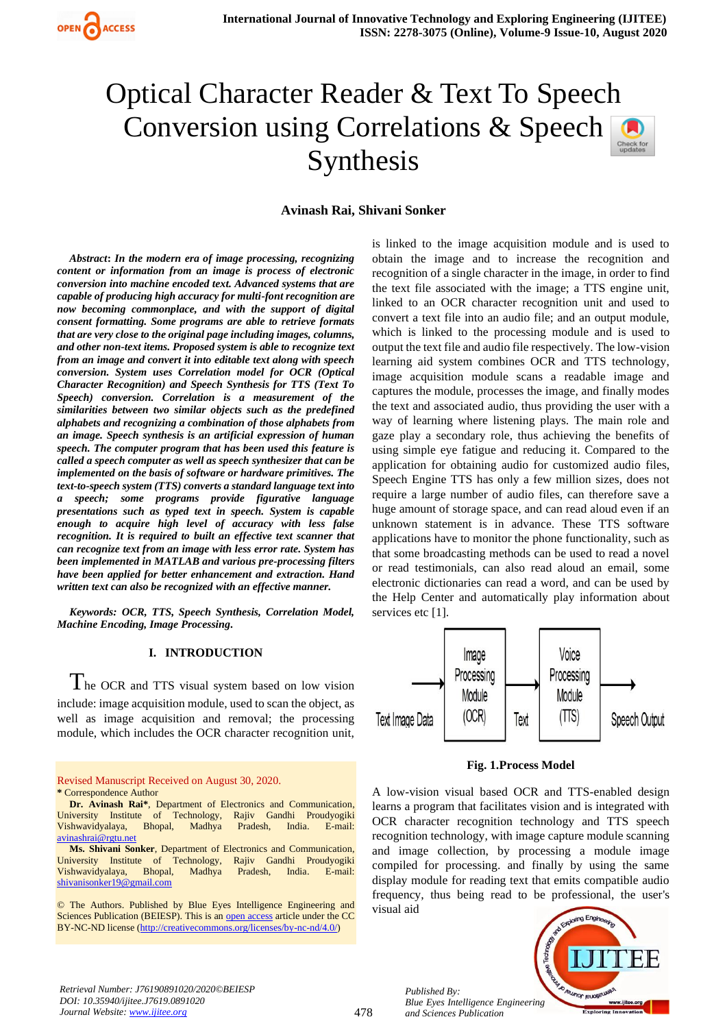

# Optical Character Reader & Text To Speech Conversion using Correlations & Speech Synthesis

### **Avinash Rai, Shivani Sonker**

*Abstract***:** *In the modern era of image processing, recognizing content or information from an image is process of electronic conversion into machine encoded text. Advanced systems that are capable of producing high accuracy for multi-font recognition are now becoming commonplace, and with the support of digital consent formatting. Some programs are able to retrieve formats that are very close to the original page including images, columns, and other non-text items. Proposed system is able to recognize text from an image and convert it into editable text along with speech conversion. System uses Correlation model for OCR (Optical Character Recognition) and Speech Synthesis for TTS (Text To Speech) conversion. Correlation is a measurement of the similarities between two similar objects such as the predefined alphabets and recognizing a combination of those alphabets from an image. Speech synthesis is an artificial expression of human speech. The computer program that has been used this feature is called a speech computer as well as speech synthesizer that can be implemented on the basis of software or hardware primitives. The text-to-speech system (TTS) converts a standard language text into a speech; some programs provide figurative language presentations such as typed text in speech. System is capable enough to acquire high level of accuracy with less false recognition. It is required to built an effective text scanner that can recognize text from an image with less error rate. System has been implemented in MATLAB and various pre-processing filters have been applied for better enhancement and extraction. Hand written text can also be recognized with an effective manner.* 

*Keywords: OCR, TTS, Speech Synthesis, Correlation Model, Machine Encoding, Image Processing.* 

### **I. INTRODUCTION**

The OCR and TTS visual system based on low vision include: image acquisition module, used to scan the object, as well as image acquisition and removal; the processing module, which includes the OCR character recognition unit,

Revised Manuscript Received on August 30, 2020. **\*** Correspondence Author

**Dr. Avinash Rai\***, Department of Electronics and Communication, University Institute of Technology, Rajiv Gandhi Proudyogiki Vishwavidyalaya, Bhopal, Madhya Pradesh, India. E-mail: [avinashrai@rgtu.net](mailto:avinashrai@rgtu.net)

**Ms. Shivani Sonker**, Department of Electronics and Communication, iversity Institute of Technology, Rajiv Gandhi Proudyogiki University Institute of Technology, Vishwavidyalaya, Bhopal, Madhya Pradesh, India. E-mail: [shivanisonker19@gmail.com](mailto:shivanisonker19@gmail.com)

© The Authors. Published by Blue Eyes Intelligence Engineering and Sciences Publication (BEIESP). This is an [open access](https://www.openaccess.nl/en/open-publications) article under the CC BY-NC-ND license [\(http://creativecommons.org/licenses/by-nc-nd/4.0/\)](http://creativecommons.org/licenses/by-nc-nd/4.0/)

is linked to the image acquisition module and is used to obtain the image and to increase the recognition and recognition of a single character in the image, in order to find the text file associated with the image; a TTS engine unit, linked to an OCR character recognition unit and used to convert a text file into an audio file; and an output module, which is linked to the processing module and is used to output the text file and audio file respectively. The low-vision learning aid system combines OCR and TTS technology, image acquisition module scans a readable image and captures the module, processes the image, and finally modes the text and associated audio, thus providing the user with a way of learning where listening plays. The main role and gaze play a secondary role, thus achieving the benefits of using simple eye fatigue and reducing it. Compared to the application for obtaining audio for customized audio files, Speech Engine TTS has only a few million sizes, does not require a large number of audio files, can therefore save a huge amount of storage space, and can read aloud even if an unknown statement is in advance. These TTS software applications have to monitor the phone functionality, such as that some broadcasting methods can be used to read a novel or read testimonials, can also read aloud an email, some electronic dictionaries can read a word, and can be used by the Help Center and automatically play information about services etc [1].



**Fig. 1.Process Model**

A low-vision visual based OCR and TTS-enabled design learns a program that facilitates vision and is integrated with OCR character recognition technology and TTS speech recognition technology, with image capture module scanning and image collection, by processing a module image compiled for processing. and finally by using the same display module for reading text that emits compatible audio frequency, thus being read to be professional, the user's visual aid



*Retrieval Number: J76190891020/2020©BEIESP DOI: 10.35940/ijitee.J7619.0891020 Journal Website: [www.ijitee.org](http://www.ijitee.org/)*

*Published By:*

*and Sciences Publication*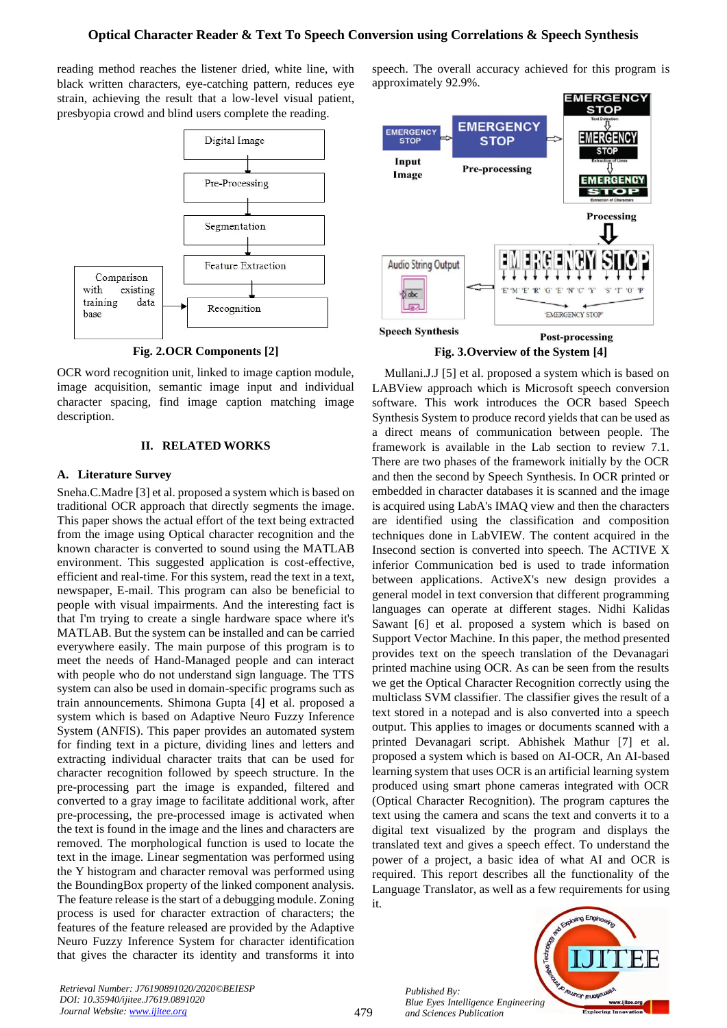# **Optical Character Reader & Text To Speech Conversion using Correlations & Speech Synthesis**

reading method reaches the listener dried, white line, with black written characters, eye-catching pattern, reduces eye strain, achieving the result that a low-level visual patient, presbyopia crowd and blind users complete the reading.



**Fig. 2.OCR Components [2]**

OCR word recognition unit, linked to image caption module, image acquisition, semantic image input and individual character spacing, find image caption matching image description.

# **II. RELATED WORKS**

# **A. Literature Survey**

Sneha.C.Madre [3] et al. proposed a system which is based on traditional OCR approach that directly segments the image. This paper shows the actual effort of the text being extracted from the image using Optical character recognition and the known character is converted to sound using the MATLAB environment. This suggested application is cost-effective, efficient and real-time. For this system, read the text in a text, newspaper, E-mail. This program can also be beneficial to people with visual impairments. And the interesting fact is that I'm trying to create a single hardware space where it's MATLAB. But the system can be installed and can be carried everywhere easily. The main purpose of this program is to meet the needs of Hand-Managed people and can interact with people who do not understand sign language. The TTS system can also be used in domain-specific programs such as train announcements. Shimona Gupta [4] et al. proposed a system which is based on Adaptive Neuro Fuzzy Inference System (ANFIS). This paper provides an automated system for finding text in a picture, dividing lines and letters and extracting individual character traits that can be used for character recognition followed by speech structure. In the pre-processing part the image is expanded, filtered and converted to a gray image to facilitate additional work, after pre-processing, the pre-processed image is activated when the text is found in the image and the lines and characters are removed. The morphological function is used to locate the text in the image. Linear segmentation was performed using the Y histogram and character removal was performed using the BoundingBox property of the linked component analysis. The feature release is the start of a debugging module. Zoning process is used for character extraction of characters; the features of the feature released are provided by the Adaptive Neuro Fuzzy Inference System for character identification that gives the character its identity and transforms it into speech. The overall accuracy achieved for this program is approximately 92.9%.



**Fig. 3.Overview of the System [4]**

Mullani.J.J [5] et al. proposed a system which is based on LABView approach which is Microsoft speech conversion software. This work introduces the OCR based Speech Synthesis System to produce record yields that can be used as a direct means of communication between people. The framework is available in the Lab section to review 7.1. There are two phases of the framework initially by the OCR and then the second by Speech Synthesis. In OCR printed or embedded in character databases it is scanned and the image is acquired using LabA's IMAQ view and then the characters are identified using the classification and composition techniques done in LabVIEW. The content acquired in the Insecond section is converted into speech. The ACTIVE X inferior Communication bed is used to trade information between applications. ActiveX's new design provides a general model in text conversion that different programming languages can operate at different stages. Nidhi Kalidas Sawant [6] et al. proposed a system which is based on Support Vector Machine. In this paper, the method presented provides text on the speech translation of the Devanagari printed machine using OCR. As can be seen from the results we get the Optical Character Recognition correctly using the multiclass SVM classifier. The classifier gives the result of a text stored in a notepad and is also converted into a speech output. This applies to images or documents scanned with a printed Devanagari script. Abhishek Mathur [7] et al. proposed a system which is based on AI-OCR, An AI-based learning system that uses OCR is an artificial learning system produced using smart phone cameras integrated with OCR (Optical Character Recognition). The program captures the text using the camera and scans the text and converts it to a digital text visualized by the program and displays the translated text and gives a speech effect. To understand the power of a project, a basic idea of what AI and OCR is required. This report describes all the functionality of the Language Translator, as well as a few requirements for using it.

> *Published By: Blue Eyes Intelligence Engineering and Sciences Publication*



*Retrieval Number: J76190891020/2020©BEIESP DOI: 10.35940/ijitee.J7619.0891020 Journal Website: [www.ijitee.org](http://www.ijitee.org/)*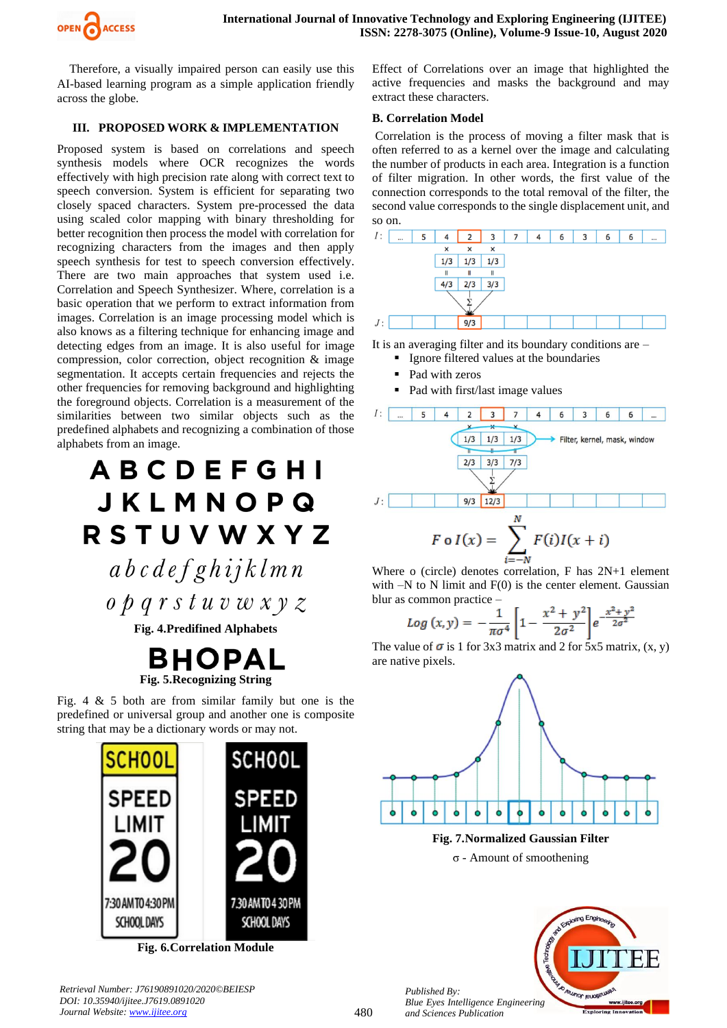

Therefore, a visually impaired person can easily use this AI-based learning program as a simple application friendly across the globe.

# **III. PROPOSED WORK & IMPLEMENTATION**

Proposed system is based on correlations and speech synthesis models where OCR recognizes the words effectively with high precision rate along with correct text to speech conversion. System is efficient for separating two closely spaced characters. System pre-processed the data using scaled color mapping with binary thresholding for better recognition then process the model with correlation for recognizing characters from the images and then apply speech synthesis for test to speech conversion effectively. There are two main approaches that system used i.e. Correlation and Speech Synthesizer. Where, correlation is a basic operation that we perform to extract information from images. Correlation is an image processing model which is also knows as a filtering technique for enhancing image and detecting edges from an image. It is also useful for image compression, color correction, object recognition & image segmentation. It accepts certain frequencies and rejects the other frequencies for removing background and highlighting the foreground objects. Correlation is a measurement of the similarities between two similar objects such as the predefined alphabets and recognizing a combination of those alphabets from an image.

 $\theta$   $\rho$   $q$   $r$   $s$   $t$   $u$   $v$   $w$   $x$   $y$   $z$ 

**Fig. 4.Predifined Alphabets**

![](_page_2_Picture_8.jpeg)

Fig. 4  $\&$  5 both are from similar family but one is the predefined or universal group and another one is composite string that may be a dictionary words or may not.

![](_page_2_Picture_10.jpeg)

**Fig. 6.Correlation Module**

*Retrieval Number: J76190891020/2020©BEIESP DOI: 10.35940/ijitee.J7619.0891020 Journal Website: [www.ijitee.org](http://www.ijitee.org/)*

Effect of Correlations over an image that highlighted the active frequencies and masks the background and may extract these characters.

### **B. Correlation Model**

Correlation is the process of moving a filter mask that is often referred to as a kernel over the image and calculating the number of products in each area. Integration is a function of filter migration. In other words, the first value of the connection corresponds to the total removal of the filter, the second value corresponds to the single displacement unit, and so on.

![](_page_2_Figure_16.jpeg)

It is an averaging filter and its boundary conditions are –

- **•** Ignore filtered values at the boundaries
- Pad with zeros
- Pad with first/last image values

![](_page_2_Figure_21.jpeg)

Where o (circle) denotes correlation, F has 2N+1 element with  $-N$  to N limit and  $F(0)$  is the center element. Gaussian blur as common practice –

$$
Log(x, y) = -\frac{1}{\pi \sigma^4} \left[ 1 - \frac{x^2 + y^2}{2\sigma^2} \right] e^{-\frac{x^2 + y^2}{2\sigma^2}}
$$

The value of  $\sigma$  is 1 for 3x3 matrix and 2 for 5x5 matrix,  $(x, y)$ are native pixels.

![](_page_2_Figure_25.jpeg)

**Fig. 7.Normalized Gaussian Filter** σ - Amount of smoothening

![](_page_2_Picture_27.jpeg)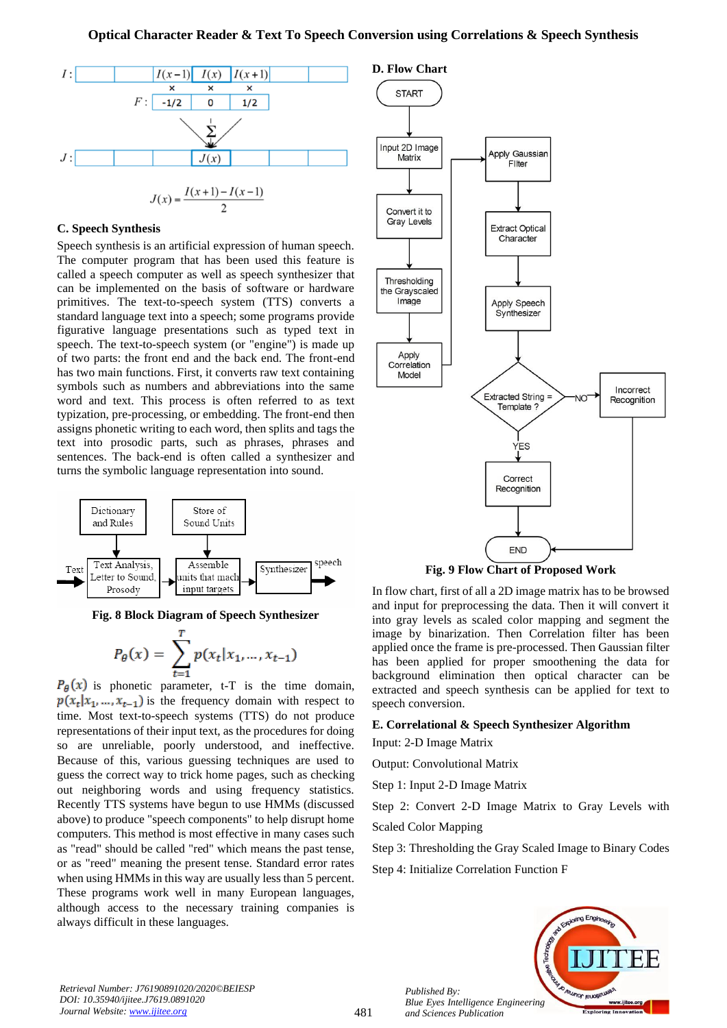![](_page_3_Figure_1.jpeg)

#### **C. Speech Synthesis**

Speech synthesis is an artificial expression of human speech. The computer program that has been used this feature is called a speech computer as well as speech synthesizer that can be implemented on the basis of software or hardware primitives. The text-to-speech system (TTS) converts a standard language text into a speech; some programs provide figurative language presentations such as typed text in speech. The text-to-speech system (or "engine") is made up of two parts: the front end and the back end. The front-end has two main functions. First, it converts raw text containing symbols such as numbers and abbreviations into the same word and text. This process is often referred to as text typization, pre-processing, or embedding. The front-end then assigns phonetic writing to each word, then splits and tags the text into prosodic parts, such as phrases, phrases and sentences. The back-end is often called a synthesizer and turns the symbolic language representation into sound.

![](_page_3_Figure_4.jpeg)

**Fig. 8 Block Diagram of Speech Synthesizer**

$$
P_{\theta}(x) = \sum_{t=1}^{T} p(x_t | x_1, ..., x_{t-1})
$$

 $P_{\theta}(x)$  is phonetic parameter, t-T is the time domain,  $p(x_t|x_1, ..., x_{t-1})$  is the frequency domain with respect to time. Most text-to-speech systems (TTS) do not produce representations of their input text, as the procedures for doing so are unreliable, poorly understood, and ineffective. Because of this, various guessing techniques are used to guess the correct way to trick home pages, such as checking out neighboring words and using frequency statistics. Recently TTS systems have begun to use HMMs (discussed above) to produce "speech components" to help disrupt home computers. This method is most effective in many cases such as "read" should be called "red" which means the past tense, or as "reed" meaning the present tense. Standard error rates when using HMMs in this way are usually less than 5 percent. These programs work well in many European languages, although access to the necessary training companies is always difficult in these languages.

![](_page_3_Figure_8.jpeg)

**Fig. 9 Flow Chart of Proposed Work**

In flow chart, first of all a 2D image matrix has to be browsed and input for preprocessing the data. Then it will convert it into gray levels as scaled color mapping and segment the image by binarization. Then Correlation filter has been applied once the frame is pre-processed. Then Gaussian filter has been applied for proper smoothening the data for background elimination then optical character can be extracted and speech synthesis can be applied for text to speech conversion.

# **E. Correlational & Speech Synthesizer Algorithm** Input: 2-D Image Matrix

Output: Convolutional Matrix

Step 1: Input 2-D Image Matrix

Step 2: Convert 2-D Image Matrix to Gray Levels with Scaled Color Mapping

Step 3: Thresholding the Gray Scaled Image to Binary Codes

Step 4: Initialize Correlation Function F

![](_page_3_Picture_17.jpeg)

*Retrieval Number: J76190891020/2020©BEIESP DOI: 10.35940/ijitee.J7619.0891020 Journal Website: [www.ijitee.org](http://www.ijitee.org/)*

481

*Published By: Blue Eyes Intelligence Engineering and Sciences Publication*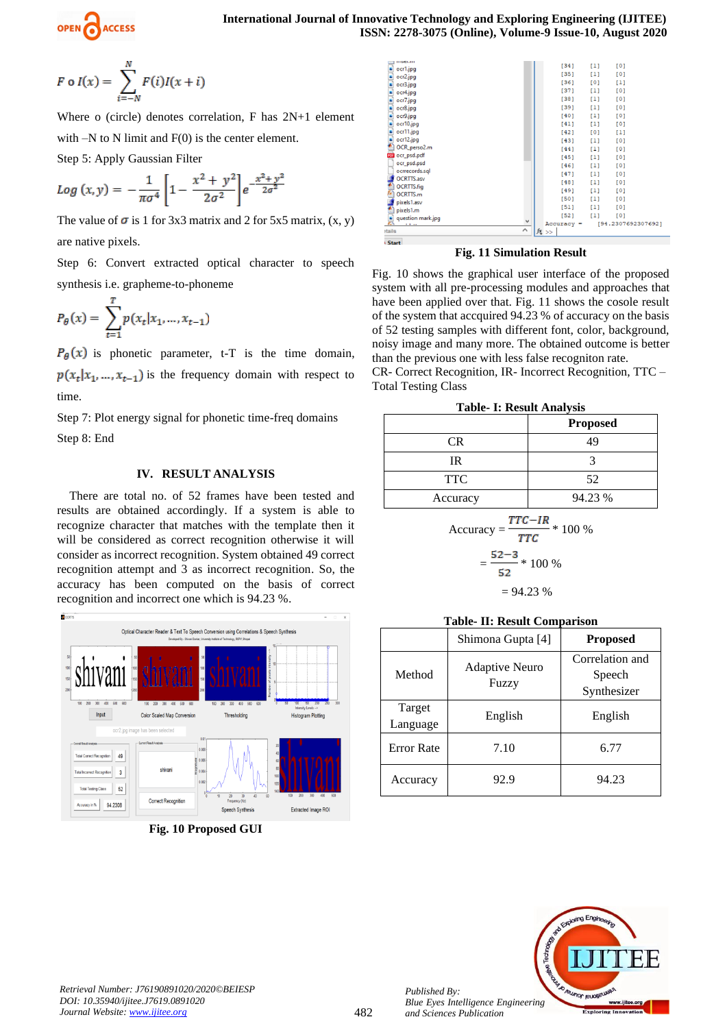#### **International Journal of Innovative Technology and Exploring Engineering (IJITEE) ISSN: 2278-3075 (Online), Volume-9 Issue-10, August 2020**

$$
F \circ I(x) = \sum_{i=-N}^{N} F(i)I(x+i)
$$

Where o (circle) denotes correlation, F has 2N+1 element with  $-N$  to N limit and  $F(0)$  is the center element.

Step 5: Apply Gaussian Filter

$$
Log(x, y) = -\frac{1}{\pi \sigma^4} \left[ 1 - \frac{x^2 + y^2}{2\sigma^2} \right] e^{-\frac{x^2 + y^2}{2\sigma^2}}
$$

The value of  $\sigma$  is 1 for 3x3 matrix and 2 for 5x5 matrix, (x, y) are native pixels.

Step 6: Convert extracted optical character to speech synthesis i.e. grapheme-to-phoneme

$$
P_{\theta}(x) = \sum_{t=1}^{T} p(x_t | x_1, ..., x_{t-1})
$$

 $P_{\theta}(x)$  is phonetic parameter, t-T is the time domain,  $p(x_t|x_1,...,x_{t-1})$  is the frequency domain with respect to time.

Step 7: Plot energy signal for phonetic time-freq domains Step 8: End

# **IV. RESULT ANALYSIS**

There are total no. of 52 frames have been tested and results are obtained accordingly. If a system is able to recognize character that matches with the template then it will be considered as correct recognition otherwise it will consider as incorrect recognition. System obtained 49 correct recognition attempt and 3 as incorrect recognition. So, the accuracy has been computed on the basis of correct recognition and incorrect one which is 94.23 %.

![](_page_4_Figure_13.jpeg)

**Fig. 10 Proposed GUI**

| question mark.jpg<br>1.1.1<br>:tails  | v<br>$\hat{\phantom{a}}$ | [52]<br>$Accuracy =$<br>$f_{\frac{x}{2}}$ >> | [1]   | [0]<br>[94.2307692307692] |
|---------------------------------------|--------------------------|----------------------------------------------|-------|---------------------------|
| pixels1.m                             |                          | [51]                                         | [1]   | [0]                       |
| pixels1.asv                           |                          | [50]                                         | $[1]$ | [0]                       |
| <b>OCRTTS.m</b>                       |                          | [49]                                         | $[1]$ | [0]                       |
| OCRTTS.fig                            |                          | [48]                                         | $[1]$ | [0]                       |
| <b>OCRTTS.asv</b>                     |                          | $[47]$                                       | $[1]$ | [0]                       |
| ocrrecords.sql                        |                          | [46]                                         | $[1]$ | [0]                       |
| <b>POR</b> ocr_psd.pdf<br>ocr_psd.psd |                          | [45]                                         | $[1]$ | [0]                       |
| OCR_perso2.m                          |                          | [44]                                         | $[1]$ | [0]                       |
| F<br>ocr12.jpg                        |                          | $[43]$                                       | [1]   | [0]                       |
| ocr11.jpg                             |                          | [42]                                         | [0]   | $[1]$                     |
| ocr10.jpg                             |                          | $[41]$                                       | $[1]$ | [0]                       |
| ocr9.jpg                              |                          | [40]                                         | $[1]$ | [0]                       |
| ocr8.jpg                              |                          | [39]                                         | $[1]$ | [0]                       |
| į<br>ocr7.jpg                         |                          | $[38]$                                       | $[1]$ | [0]                       |
| ocr4.jpg                              |                          | $[37]$                                       | $[1]$ | [0]                       |
| F<br>ocr3.jpg                         |                          | $[36]$                                       | [0]   | $[1]$                     |
| E,<br>ocr2.jpg                        |                          | [35]                                         | [1]   | [0]                       |
| <b>ET MOCHIN</b><br>ocr1.jpg          |                          | [34]                                         | [1]   | [0]                       |

#### **Fig. 11 Simulation Result**

Fig. 10 shows the graphical user interface of the proposed system with all pre-processing modules and approaches that have been applied over that. Fig. 11 shows the cosole result of the system that accquired 94.23 % of accuracy on the basis of 52 testing samples with different font, color, background, noisy image and many more. The obtained outcome is better than the previous one with less false recogniton rate.

CR- Correct Recognition, IR- Incorrect Recognition, TTC – Total Testing Class

|  |  | <b>Table- I: Result Analysis</b> |  |  |
|--|--|----------------------------------|--|--|
|--|--|----------------------------------|--|--|

|            | <b>Proposed</b> |
|------------|-----------------|
| <b>CR</b>  | 49              |
| IR         |                 |
| <b>TTC</b> | 52              |
| Accuracy   | 94.23 %         |

$$
Accuracy = \frac{TTC - IR}{TTC} * 100 %
$$
  
=  $\frac{52-3}{52} * 100 %$   
= 94.23 %

## **Table- II: Result Comparison**

|                    | Shimona Gupta [4]              | <b>Proposed</b>                          |
|--------------------|--------------------------------|------------------------------------------|
| Method             | <b>Adaptive Neuro</b><br>Fuzzy | Correlation and<br>Speech<br>Synthesizer |
| Target<br>Language | English                        | English                                  |
| <b>Error Rate</b>  | 7.10                           | 6.77                                     |
| Accuracy           | 92.9                           | 94.23                                    |

![](_page_4_Picture_24.jpeg)

*Retrieval Number: J76190891020/2020©BEIESP DOI: 10.35940/ijitee.J7619.0891020 Journal Website: [www.ijitee.org](http://www.ijitee.org/)*

*Published By:*

*and Sciences Publication*